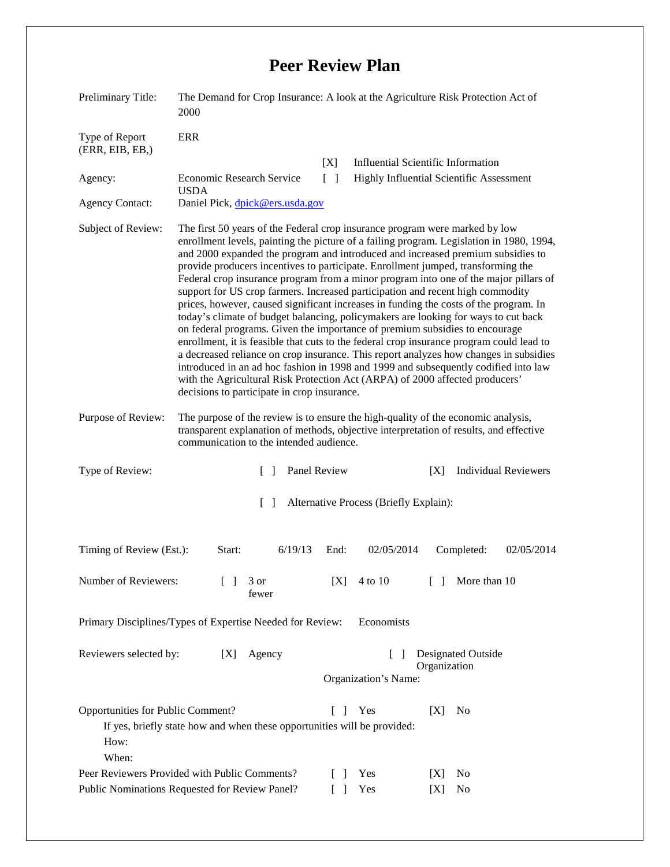## **Peer Review Plan**

| Preliminary Title:                                                      | The Demand for Crop Insurance: A look at the Agriculture Risk Protection Act of<br>2000                                                                                                                                                                                                                                                                                                                                                                                                                                                                                                                                                                                                                                                                                                                                                                                                                                                                                                                                                                                                                                                                                                           |
|-------------------------------------------------------------------------|---------------------------------------------------------------------------------------------------------------------------------------------------------------------------------------------------------------------------------------------------------------------------------------------------------------------------------------------------------------------------------------------------------------------------------------------------------------------------------------------------------------------------------------------------------------------------------------------------------------------------------------------------------------------------------------------------------------------------------------------------------------------------------------------------------------------------------------------------------------------------------------------------------------------------------------------------------------------------------------------------------------------------------------------------------------------------------------------------------------------------------------------------------------------------------------------------|
| Type of Report<br>(ERR, EIB, EB,)<br>Agency:<br><b>Agency Contact:</b>  | <b>ERR</b><br><b>Influential Scientific Information</b><br>[X]<br><b>Economic Research Service</b><br>$\Box$<br>Highly Influential Scientific Assessment<br><b>USDA</b><br>Daniel Pick, dpick@ers.usda.gov                                                                                                                                                                                                                                                                                                                                                                                                                                                                                                                                                                                                                                                                                                                                                                                                                                                                                                                                                                                        |
| Subject of Review:                                                      | The first 50 years of the Federal crop insurance program were marked by low<br>enrollment levels, painting the picture of a failing program. Legislation in 1980, 1994,<br>and 2000 expanded the program and introduced and increased premium subsidies to<br>provide producers incentives to participate. Enrollment jumped, transforming the<br>Federal crop insurance program from a minor program into one of the major pillars of<br>support for US crop farmers. Increased participation and recent high commodity<br>prices, however, caused significant increases in funding the costs of the program. In<br>today's climate of budget balancing, policymakers are looking for ways to cut back<br>on federal programs. Given the importance of premium subsidies to encourage<br>enrollment, it is feasible that cuts to the federal crop insurance program could lead to<br>a decreased reliance on crop insurance. This report analyzes how changes in subsidies<br>introduced in an ad hoc fashion in 1998 and 1999 and subsequently codified into law<br>with the Agricultural Risk Protection Act (ARPA) of 2000 affected producers'<br>decisions to participate in crop insurance. |
| Purpose of Review:                                                      | The purpose of the review is to ensure the high-quality of the economic analysis,<br>transparent explanation of methods, objective interpretation of results, and effective<br>communication to the intended audience.                                                                                                                                                                                                                                                                                                                                                                                                                                                                                                                                                                                                                                                                                                                                                                                                                                                                                                                                                                            |
| Type of Review:                                                         | Panel Review<br><b>Individual Reviewers</b><br>$\Box$<br>[X]                                                                                                                                                                                                                                                                                                                                                                                                                                                                                                                                                                                                                                                                                                                                                                                                                                                                                                                                                                                                                                                                                                                                      |
|                                                                         | Alternative Process (Briefly Explain):<br>$\Box$                                                                                                                                                                                                                                                                                                                                                                                                                                                                                                                                                                                                                                                                                                                                                                                                                                                                                                                                                                                                                                                                                                                                                  |
| Timing of Review (Est.):                                                | 6/19/13<br>Start:<br>End:<br>02/05/2014<br>Completed:<br>02/05/2014                                                                                                                                                                                                                                                                                                                                                                                                                                                                                                                                                                                                                                                                                                                                                                                                                                                                                                                                                                                                                                                                                                                               |
| Number of Reviewers:                                                    | 3 or<br>$[X]$ 4 to 10<br>$[\ ]$<br>More than 10<br>fewer                                                                                                                                                                                                                                                                                                                                                                                                                                                                                                                                                                                                                                                                                                                                                                                                                                                                                                                                                                                                                                                                                                                                          |
| Economists<br>Primary Disciplines/Types of Expertise Needed for Review: |                                                                                                                                                                                                                                                                                                                                                                                                                                                                                                                                                                                                                                                                                                                                                                                                                                                                                                                                                                                                                                                                                                                                                                                                   |
| Reviewers selected by:                                                  | Agency<br>Designated Outside<br>[X]<br>Organization<br>Organization's Name:                                                                                                                                                                                                                                                                                                                                                                                                                                                                                                                                                                                                                                                                                                                                                                                                                                                                                                                                                                                                                                                                                                                       |
| Opportunities for Public Comment?<br>How:<br>When:                      | Yes<br>$\Box$<br>[X]<br>N <sub>0</sub><br>If yes, briefly state how and when these opportunities will be provided:                                                                                                                                                                                                                                                                                                                                                                                                                                                                                                                                                                                                                                                                                                                                                                                                                                                                                                                                                                                                                                                                                |
|                                                                         | Peer Reviewers Provided with Public Comments?<br>Yes<br>N <sub>0</sub><br> X <br>Public Nominations Requested for Review Panel?<br>Yes<br>No<br>[X]<br>L                                                                                                                                                                                                                                                                                                                                                                                                                                                                                                                                                                                                                                                                                                                                                                                                                                                                                                                                                                                                                                          |